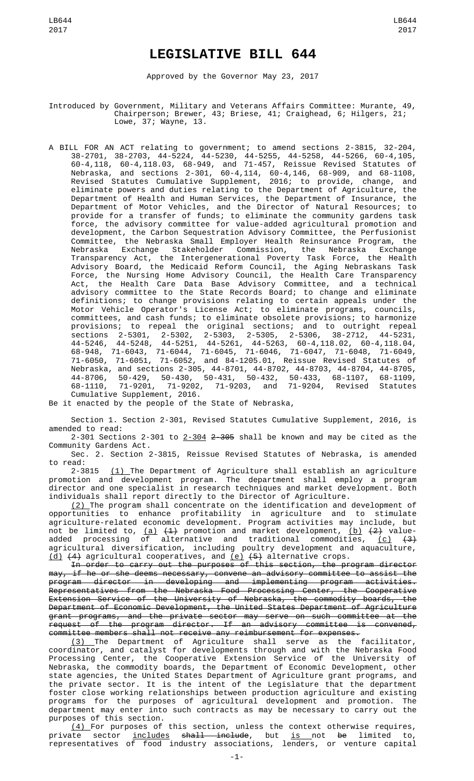## **LEGISLATIVE BILL 644**

Approved by the Governor May 23, 2017

Introduced by Government, Military and Veterans Affairs Committee: Murante, 49, Chairperson; Brewer, 43; Briese, 41; Craighead, 6; Hilgers, 21; Lowe, 37; Wayne, 13.

A BILL FOR AN ACT relating to government; to amend sections 2-3815, 32-204, 38-2701, 38-2703, 44-5224, 44-5230, 44-5255, 44-5258, 44-5266, 60-4,105, 60-4,118, 60-4,118.03, 68-949, and 71-457, Reissue Revised Statutes of Nebraska, and sections 2-301, 60-4,114, 60-4,146, 68-909, and 68-1108, Revised Statutes Cumulative Supplement, 2016; to provide, change, and eliminate powers and duties relating to the Department of Agriculture, the Department of Health and Human Services, the Department of Insurance, the Department of Motor Vehicles, and the Director of Natural Resources; to provide for a transfer of funds; to eliminate the community gardens task force, the advisory committee for value-added agricultural promotion and development, the Carbon Sequestration Advisory Committee, the Perfusionist Committee, the Nebraska Small Employer Health Reinsurance Program, the Nebraska Exchange Stakeholder Commission, the Nebraska Exchange Transparency Act, the Intergenerational Poverty Task Force, the Health Advisory Board, the Medicaid Reform Council, the Aging Nebraskans Task Force, the Nursing Home Advisory Council, the Health Care Transparency Act, the Health Care Data Base Advisory Committee, and a technical advisory committee to the State Records Board; to change and eliminate definitions; to change provisions relating to certain appeals under the Motor Vehicle Operator's License Act; to eliminate programs, councils, committees, and cash funds; to eliminate obsolete provisions; to harmonize provisions; to repeal the original sections; and to outright repeal sections 2-5301, 2-5302, 2-5303, 2-5305, 2-5306, 38-2712, 44-5231, 44-5246, 44-5248, 44-5251, 44-5261, 44-5263, 60-4,118.02, 60-4,118.04, 68-948, 71-6043, 71-6044, 71-6045, 71-6046, 71-6047, 71-6048, 71-6049, 71-6050, 71-6051, 71-6052, and 84-1205.01, Reissue Revised Statutes of Nebraska, and sections 2-305, 44-8701, 44-8702, 44-8703, 44-8704, 44-8705, 44-8706, 50-429, 50-430, 50-431, 50-432, 50-433, 68-1107, 68-1109, 68-1110, 71-9201, 71-9202, 71-9203, and 71-9204, Revised Statutes Cumulative Supplement, 2016.

Be it enacted by the people of the State of Nebraska,

Section 1. Section 2-301, Revised Statutes Cumulative Supplement, 2016, is amended to read:

2-301 Sections 2-301 to 2-304 2-305 shall be known and may be cited as the Community Gardens Act.

Sec. 2. Section 2-3815, Reissue Revised Statutes of Nebraska, is amended to read:<br>2-3815

 $(1)$  The Department of Agriculture shall establish an agriculture promotion and development program. The department shall employ a program director and one specialist in research techniques and market development. Both individuals shall report directly to the Director of Agriculture.

 $\left( 2\right)$  The program shall concentrate on the identification and development of opportunities to enhance profitability in agriculture and to stimulate agriculture-related economic development. Program activities may include, but not be limited to, <u>(a)</u> <del>(1)</del> promotion and market development, <u>(b)</u> <del>(2)</del> valueadded processing of alternative and traditional commodities, <u>(c)</u> <del>(3)</del> agricultural diversification, including poultry development and aquaculture, <u>(d)</u>  $(4)$  agricultural cooperatives, and <u>(e)</u>  $(5)$  alternative crops.

In order to carry out the purposes of this section, the program director may, if he or she deems necessary, convene an advisory committee to assist the program director in developing and implementing program activities. Representatives from the Nebraska Food Processing Center, the Cooperative Extension Service of the University of Nebraska, the commodity boards, the Department of Economic Development, the United States Department of Agriculture grant programs, and the private sector may serve on such committee at the request of the program director. If an advisory committee is convened, committee members shall not receive any reimbursement for expenses.

(3) The Department of Agriculture shall serve as the facilitator, coordinator, and catalyst for developments through and with the Nebraska Food Processing Center, the Cooperative Extension Service of the University of Nebraska, the commodity boards, the Department of Economic Development, other state agencies, the United States Department of Agriculture grant programs, and the private sector. It is the intent of the Legislature that the department foster close working relationships between production agriculture and existing programs for the purposes of agricultural development and promotion. The department may enter into such contracts as may be necessary to carry out the purposes of this section.

 $(4)$  For purposes of this section, unless the context otherwise requires, private sector <u>includes</u> <del>shall include</del>, but <u>is </u>not <del>be</del> limited to, representatives of food industry associations, lenders, or venture capital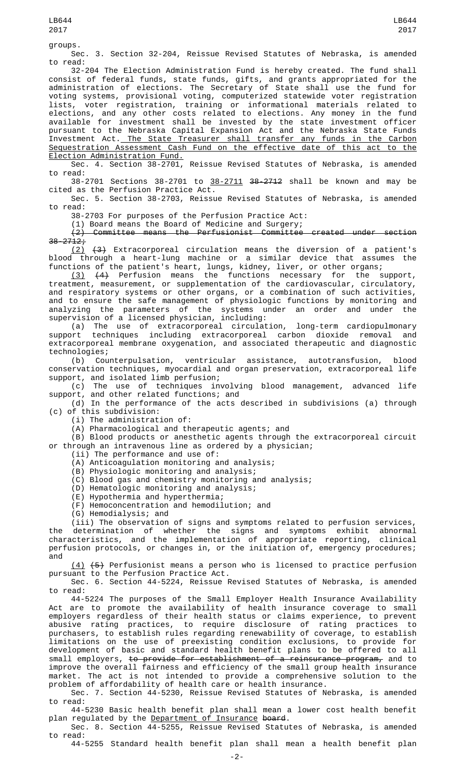groups.

Sec. 3. Section 32-204, Reissue Revised Statutes of Nebraska, is amended to read:

32-204 The Election Administration Fund is hereby created. The fund shall consist of federal funds, state funds, gifts, and grants appropriated for the administration of elections. The Secretary of State shall use the fund for voting systems, provisional voting, computerized statewide voter registration lists, voter registration, training or informational materials related to elections, and any other costs related to elections. Any money in the fund available for investment shall be invested by the state investment officer pursuant to the Nebraska Capital Expansion Act and the Nebraska State Funds Investment Act. The State Treasurer shall transfer any funds in the Carbon Sequestration Assessment Cash Fund on the effective date of this act to the Election Administration Fund.

Sec. 4. Section 38-2701, Reissue Revised Statutes of Nebraska, is amended to read:

38-2701 Sections 38-2701 to 38-2711 38-2712 shall be known and may be cited as the Perfusion Practice Act.

Sec. 5. Section 38-2703, Reissue Revised Statutes of Nebraska, is amended to read:

38-2703 For purposes of the Perfusion Practice Act:

## (1) Board means the Board of Medicine and Surgery;<br>(2) Committee means the Perfusionist Committee

Committee means the Perfusionist Committee created under section  $38 - 2712;$ 

(2) (3) Extracorporeal circulation means the diversion of a patient's blood through a heart-lung machine or a similar device that assumes the functions of the patient's heart, lungs, kidney, liver, or other organs;

 $(3)$   $(4)$  Perfusion means the functions necessary for the support, treatment, measurement, or supplementation of the cardiovascular, circulatory, and respiratory systems or other organs, or a combination of such activities, and to ensure the safe management of physiologic functions by monitoring and analyzing the parameters of the systems under an order and under the supervision of a licensed physician, including:

(a) The use of extracorporeal circulation, long-term cardiopulmonary support techniques including extracorporeal carbon dioxide removal and extracorporeal membrane oxygenation, and associated therapeutic and diagnostic technologies;

(b) Counterpulsation, ventricular assistance, autotransfusion, blood conservation techniques, myocardial and organ preservation, extracorporeal life support, and isolated limb perfusion;

(c) The use of techniques involving blood management, advanced life support, and other related functions; and

(d) In the performance of the acts described in subdivisions (a) through (c) of this subdivision:

(i) The administration of:

(A) Pharmacological and therapeutic agents; and

(B) Blood products or anesthetic agents through the extracorporeal circuit or through an intravenous line as ordered by a physician;

(ii) The performance and use of:

(A) Anticoagulation monitoring and analysis;

- (B) Physiologic monitoring and analysis;
- (C) Blood gas and chemistry monitoring and analysis;
- (D) Hematologic monitoring and analysis;
- (E) Hypothermia and hyperthermia;
- (F) Hemoconcentration and hemodilution; and

(G) Hemodialysis; and

 $(iii)$  The observation of signs and symptoms related to perfusion services,<br>determination of whether the signs and symptoms exhibit abnormal the determination of whether the signs and symptoms exhibit abnormal characteristics, and the implementation of appropriate reporting, clinical perfusion protocols, or changes in, or the initiation of, emergency procedures; and

(4) (5) Perfusionist means a person who is licensed to practice perfusion pursuant to the Perfusion Practice Act.

Sec. 6. Section 44-5224, Reissue Revised Statutes of Nebraska, is amended to read:

44-5224 The purposes of the Small Employer Health Insurance Availability Act are to promote the availability of health insurance coverage to small employers regardless of their health status or claims experience, to prevent abusive rating practices, to require disclosure of rating practices to purchasers, to establish rules regarding renewability of coverage, to establish limitations on the use of preexisting condition exclusions, to provide for development of basic and standard health benefit plans to be offered to all small employers, to provide for establishment of a reinsurance program, and to improve the overall fairness and efficiency of the small group health insurance market. The act is not intended to provide a comprehensive solution to the problem of affordability of health care or health insurance.

Sec. 7. Section 44-5230, Reissue Revised Statutes of Nebraska, is amended to read:

44-5230 Basic health benefit plan shall mean a lower cost health benefit plan regulated by the <u>Department of Insurance</u> <del>board</del>.

Sec. 8. Section 44-5255, Reissue Revised Statutes of Nebraska, is amended to read:

44-5255 Standard health benefit plan shall mean a health benefit plan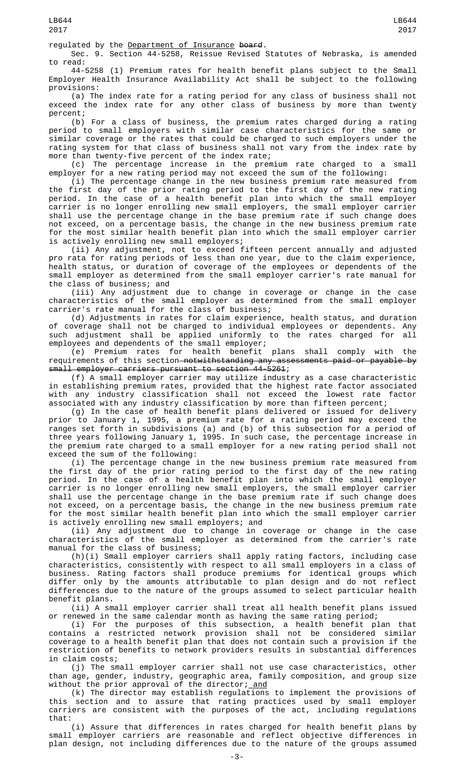regulated by the Department of Insurance board.

Sec. 9. Section 44-5258, Reissue Revised Statutes of Nebraska, is amended to read:

44-5258 (1) Premium rates for health benefit plans subject to the Small Employer Health Insurance Availability Act shall be subject to the following provisions:

(a) The index rate for a rating period for any class of business shall not exceed the index rate for any other class of business by more than twenty percent;

(b) For a class of business, the premium rates charged during a rating period to small employers with similar case characteristics for the same or similar coverage or the rates that could be charged to such employers under the rating system for that class of business shall not vary from the index rate by more than twenty-five percent of the index rate;

(c) The percentage increase in the premium rate charged to a small employer for a new rating period may not exceed the sum of the following:

(i) The percentage change in the new business premium rate measured from the first day of the prior rating period to the first day of the new rating period. In the case of a health benefit plan into which the small employer carrier is no longer enrolling new small employers, the small employer carrier shall use the percentage change in the base premium rate if such change does not exceed, on a percentage basis, the change in the new business premium rate for the most similar health benefit plan into which the small employer carrier is actively enrolling new small employers;

(ii) Any adjustment, not to exceed fifteen percent annually and adjusted pro rata for rating periods of less than one year, due to the claim experience, health status, or duration of coverage of the employees or dependents of the small employer as determined from the small employer carrier's rate manual for the class of business; and

(iii) Any adjustment due to change in coverage or change in the case characteristics of the small employer as determined from the small employer carrier's rate manual for the class of business;

(d) Adjustments in rates for claim experience, health status, and duration of coverage shall not be charged to individual employees or dependents. Any such adjustment shall be applied uniformly to the rates charged for all employees and dependents of the small employer;

(e) Premium rates for health benefit plans shall comply with the requirements of this section<del> notwithstanding any assessments paid or payable by</del> small employer carriers pursuant to section 44-5261;

(f) A small employer carrier may utilize industry as a case characteristic in establishing premium rates, provided that the highest rate factor associated with any industry classification shall not exceed the lowest rate factor associated with any industry classification by more than fifteen percent;

(g) In the case of health benefit plans delivered or issued for delivery prior to January 1, 1995, a premium rate for a rating period may exceed the ranges set forth in subdivisions (a) and (b) of this subsection for a period of three years following January 1, 1995. In such case, the percentage increase in the premium rate charged to a small employer for a new rating period shall not exceed the sum of the following:

(i) The percentage change in the new business premium rate measured from the first day of the prior rating period to the first day of the new rating period. In the case of a health benefit plan into which the small employer carrier is no longer enrolling new small employers, the small employer carrier shall use the percentage change in the base premium rate if such change does not exceed, on a percentage basis, the change in the new business premium rate for the most similar health benefit plan into which the small employer carrier is actively enrolling new small employers; and

(ii) Any adjustment due to change in coverage or change in the case characteristics of the small employer as determined from the carrier's rate manual for the class of business;

(h)(i) Small employer carriers shall apply rating factors, including case characteristics, consistently with respect to all small employers in a class of business. Rating factors shall produce premiums for identical groups which differ only by the amounts attributable to plan design and do not reflect differences due to the nature of the groups assumed to select particular health benefit plans.

(ii) A small employer carrier shall treat all health benefit plans issued or renewed in the same calendar month as having the same rating period;

(i) For the purposes of this subsection, a health benefit plan that contains a restricted network provision shall not be considered similar coverage to a health benefit plan that does not contain such a provision if the restriction of benefits to network providers results in substantial differences in claim costs;

(j) The small employer carrier shall not use case characteristics, other than age, gender, industry, geographic area, family composition, and group size without the prior approval of the director; and

(k) The director may establish regulations to implement the provisions of this section and to assure that rating practices used by small employer carriers are consistent with the purposes of the act, including regulations that:

(i) Assure that differences in rates charged for health benefit plans by small employer carriers are reasonable and reflect objective differences in plan design, not including differences due to the nature of the groups assumed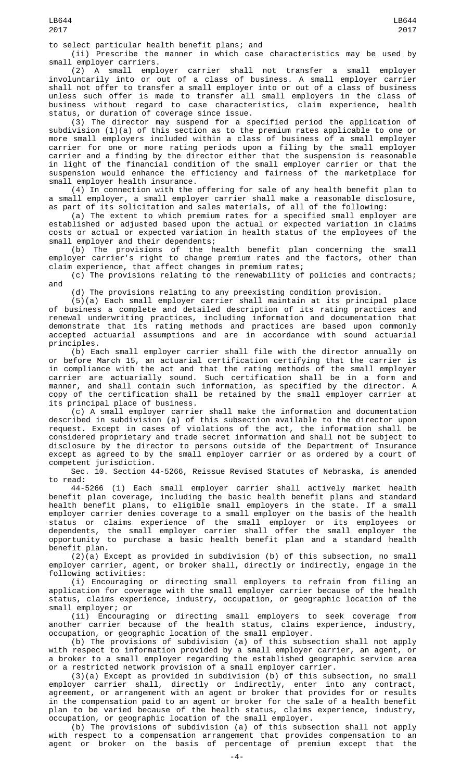to select particular health benefit plans; and

(ii) Prescribe the manner in which case characteristics may be used by small employer carriers.

(2) A small employer carrier shall not transfer a small employer involuntarily into or out of a class of business. A small employer carrier shall not offer to transfer a small employer into or out of a class of business unless such offer is made to transfer all small employers in the class of business without regard to case characteristics, claim experience, health status, or duration of coverage since issue.

(3) The director may suspend for a specified period the application of subdivision (1)(a) of this section as to the premium rates applicable to one or more small employers included within a class of business of a small employer carrier for one or more rating periods upon a filing by the small employer carrier and a finding by the director either that the suspension is reasonable in light of the financial condition of the small employer carrier or that the suspension would enhance the efficiency and fairness of the marketplace for small employer health insurance.

(4) In connection with the offering for sale of any health benefit plan to a small employer, a small employer carrier shall make a reasonable disclosure, as part of its solicitation and sales materials, of all of the following:

(a) The extent to which premium rates for a specified small employer are established or adjusted based upon the actual or expected variation in claims costs or actual or expected variation in health status of the employees of the small employer and their dependents;

(b) The provisions of the health benefit plan concerning the small employer carrier's right to change premium rates and the factors, other than claim experience, that affect changes in premium rates;

(c) The provisions relating to the renewability of policies and contracts; and

(d) The provisions relating to any preexisting condition provision.

(5)(a) Each small employer carrier shall maintain at its principal place of business a complete and detailed description of its rating practices and renewal underwriting practices, including information and documentation that demonstrate that its rating methods and practices are based upon commonly accepted actuarial assumptions and are in accordance with sound actuarial principles.

(b) Each small employer carrier shall file with the director annually on or before March 15, an actuarial certification certifying that the carrier is in compliance with the act and that the rating methods of the small employer carrier are actuarially sound. Such certification shall be in a form and manner, and shall contain such information, as specified by the director. A copy of the certification shall be retained by the small employer carrier at its principal place of business.

(c) A small employer carrier shall make the information and documentation described in subdivision (a) of this subsection available to the director upon request. Except in cases of violations of the act, the information shall be considered proprietary and trade secret information and shall not be subject to disclosure by the director to persons outside of the Department of Insurance except as agreed to by the small employer carrier or as ordered by a court of competent jurisdiction.

Sec. 10. Section 44-5266, Reissue Revised Statutes of Nebraska, is amended to read:

44-5266 (1) Each small employer carrier shall actively market health benefit plan coverage, including the basic health benefit plans and standard health benefit plans, to eligible small employers in the state. If a small employer carrier denies coverage to a small employer on the basis of the health status or claims experience of the small employer or its employees or dependents, the small employer carrier shall offer the small employer the opportunity to purchase a basic health benefit plan and a standard health benefit plan.

 $(2)(a)$  Except as provided in subdivision (b) of this subsection, no small employer carrier, agent, or broker shall, directly or indirectly, engage in the following activities:

(i) Encouraging or directing small employers to refrain from filing an application for coverage with the small employer carrier because of the health status, claims experience, industry, occupation, or geographic location of the small employer; or

(ii) Encouraging or directing small employers to seek coverage from<br>another carrier because of the health status, claims experience, industry, carrier because of the health status, claims experience, industry, occupation, or geographic location of the small employer.

(b) The provisions of subdivision (a) of this subsection shall not apply with respect to information provided by a small employer carrier, an agent, or a broker to a small employer regarding the established geographic service area or a restricted network provision of a small employer carrier.

(3)(a) Except as provided in subdivision (b) of this subsection, no small employer carrier shall, directly or indirectly, enter into any contract, agreement, or arrangement with an agent or broker that provides for or results in the compensation paid to an agent or broker for the sale of a health benefit plan to be varied because of the health status, claims experience, industry, occupation, or geographic location of the small employer.

(b) The provisions of subdivision (a) of this subsection shall not apply with respect to a compensation arrangement that provides compensation to an agent or broker on the basis of percentage of premium except that the

LB644 2017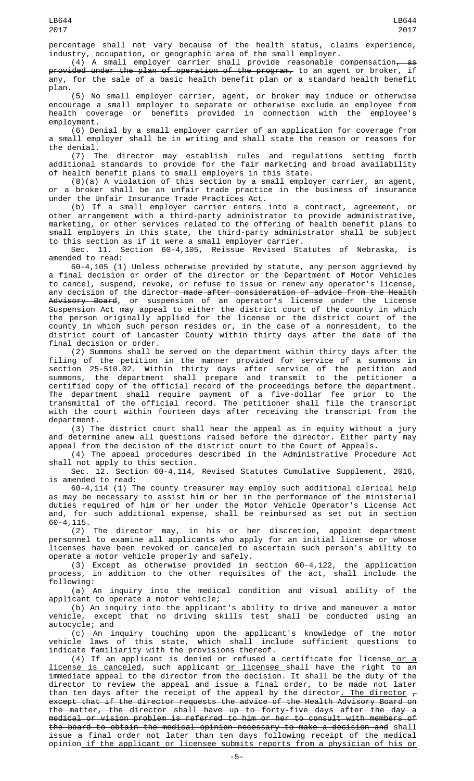percentage shall not vary because of the health status, claims experience, industry, occupation, or geographic area of the small employer.

A small employer carrier shall provide reasonable compensation $_{\tau}$ provided under the plan of operation of the program, to an agent or broker, if any, for the sale of a basic health benefit plan or a standard health benefit plan.

(5) No small employer carrier, agent, or broker may induce or otherwise encourage a small employer to separate or otherwise exclude an employee from health coverage or benefits provided in connection with the employee's employment.

(6) Denial by a small employer carrier of an application for coverage from a small employer shall be in writing and shall state the reason or reasons for the denial.

(7) The director may establish rules and regulations setting forth additional standards to provide for the fair marketing and broad availability of health benefit plans to small employers in this state.

(8)(a) A violation of this section by a small employer carrier, an agent, or a broker shall be an unfair trade practice in the business of insurance under the Unfair Insurance Trade Practices Act.

(b) If a small employer carrier enters into a contract, agreement, or other arrangement with a third-party administrator to provide administrative, marketing, or other services related to the offering of health benefit plans to small employers in this state, the third-party administrator shall be subject to this section as if it were a small employer carrier.

Sec. 11. Section 60-4,105, Reissue Revised Statutes of Nebraska, amended to read:

60-4,105 (1) Unless otherwise provided by statute, any person aggrieved by a final decision or order of the director or the Department of Motor Vehicles to cancel, suspend, revoke, or refuse to issue or renew any operator's license, any decision of the director made after consideration of advice from the Health Advisory Board, or suspension of an operator's license under the License Suspension Act may appeal to either the district court of the county in which the person originally applied for the license or the district court of the county in which such person resides or, in the case of a nonresident, to the district court of Lancaster County within thirty days after the date of the final decision or order.

(2) Summons shall be served on the department within thirty days after the filing of the petition in the manner provided for service of a summons in section 25-510.02. Within thirty days after service of the petition and summons, the department shall prepare and transmit to the petitioner a certified copy of the official record of the proceedings before the department. The department shall require payment of a five-dollar fee prior to the transmittal of the official record. The petitioner shall file the transcript with the court within fourteen days after receiving the transcript from the department.

(3) The district court shall hear the appeal as in equity without a jury and determine anew all questions raised before the director. Either party may appeal from the decision of the district court to the Court of Appeals.

(4) The appeal procedures described in the Administrative Procedure Act shall not apply to this section.

Sec. 12. Section 60-4,114, Revised Statutes Cumulative Supplement, 2016, is amended to read:

60-4,114 (1) The county treasurer may employ such additional clerical help as may be necessary to assist him or her in the performance of the ministerial duties required of him or her under the Motor Vehicle Operator's License Act and, for such additional expense, shall be reimbursed as set out in section 60-4,115.

(2) The director may, in his or her discretion, appoint department personnel to examine all applicants who apply for an initial license or whose licenses have been revoked or canceled to ascertain such person's ability to operate a motor vehicle properly and safely.

(3) Except as otherwise provided in section 60-4,122, the application process, in addition to the other requisites of the act, shall include the following:

(a) An inquiry into the medical condition and visual ability of the applicant to operate a motor vehicle;

(b) An inquiry into the applicant's ability to drive and maneuver a motor vehicle, except that no driving skills test shall be conducted using an autocycle; and

(c) An inquiry touching upon the applicant's knowledge of the motor vehicle laws of this state, which shall include sufficient questions to indicate familiarity with the provisions thereof.

(4) If an applicant is denied or refused a certificate for license or a <u>license is canceled</u>, such applicant <u>or licensee shall have the right to a</u>n immediate appeal to the director from the decision. It shall be the duty of the director to review the appeal and issue a final order, to be made not later than ten days after the receipt of the appeal by the director<u>. The director</u>  $_{\tau}$ except that if the director requests the advice of the Health Advisory Board on the matter, the director shall have up to forty-five days after the day a medical or vision problem is referred to him or her to consult with members of the board to obtain the medical opinion necessary to make a decision and shall issue a final order not later than ten days following receipt of the medical opinion if the applicant or licensee submits reports from a physician of his or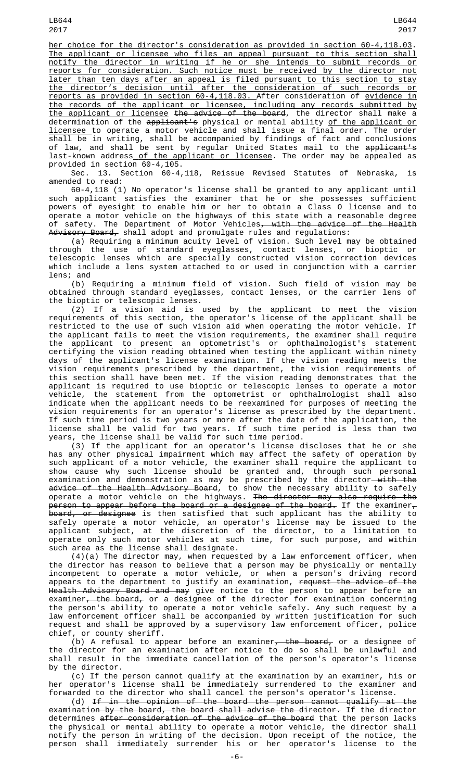her choice for the director's consideration as provided in section 60-4,118.03. The applicant or licensee who files an appeal pursuant to this section shall notify the director in writing if he or she intends to submit records or reports for consideration. Such notice must be received by the director not later than ten days after an appeal is filed pursuant to this section to stay the director's decision until after the consideration of such records or reports as provided in section 60-4,118.03. After consideration of evidence in the records of the applicant or licensee, including any records submitted by the applicant or licensee the advice of the board, the director shall make a determination of the applicant's physical or mental ability <u>of the applicant or</u> licensee to operate a motor vehicle and shall issue a final order. The order shall be in writing, shall be accompanied by findings of fact and conclusions of law, and shall be sent by regular United States mail to the <del>applicant's</del> last-known address<u> of the applicant or licensee</u>. The order may be appealed as provided in section 60-4,105.

Sec. 13. Section 60-4,118, Reissue Revised Statutes of Nebraska, is amended to read:

60-4,118 (1) No operator's license shall be granted to any applicant until such applicant satisfies the examiner that he or she possesses sufficient powers of eyesight to enable him or her to obtain a Class O license and to operate a motor vehicle on the highways of this state with a reasonable degree of safety. The Department of Motor Vehicles<del>, with the advice of the Health</del> A<del>dvisory Board,</del> shall adopt and promulgate rules and regulations:

(a) Requiring a minimum acuity level of vision. Such level may be obtained through the use of standard eyeglasses, contact lenses, or bioptic or telescopic lenses which are specially constructed vision correction devices which include a lens system attached to or used in conjunction with a carrier lens; and

(b) Requiring a minimum field of vision. Such field of vision may be obtained through standard eyeglasses, contact lenses, or the carrier lens of the bioptic or telescopic lenses.

(2) If a vision aid is used by the applicant to meet the vision requirements of this section, the operator's license of the applicant shall be restricted to the use of such vision aid when operating the motor vehicle. If the applicant fails to meet the vision requirements, the examiner shall require the applicant to present an optometrist's or ophthalmologist's statement certifying the vision reading obtained when testing the applicant within ninety days of the applicant's license examination. If the vision reading meets the vision requirements prescribed by the department, the vision requirements of this section shall have been met. If the vision reading demonstrates that the applicant is required to use bioptic or telescopic lenses to operate a motor vehicle, the statement from the optometrist or ophthalmologist shall also indicate when the applicant needs to be reexamined for purposes of meeting the vision requirements for an operator's license as prescribed by the department. If such time period is two years or more after the date of the application, the license shall be valid for two years. If such time period is less than two years, the license shall be valid for such time period.

(3) If the applicant for an operator's license discloses that he or she has any other physical impairment which may affect the safety of operation by such applicant of a motor vehicle, the examiner shall require the applicant to show cause why such license should be granted and, through such personal examination and demonstration as may be prescribed by the director—<del>with the</del> <del>advice of the Health Advisory Board</del>, to show the necessary ability to safely operate a motor vehicle on the highways. The director may also require the person to appear before the board or a designee of the board. If the examiner $_\tau$ <del>board, or designee</del> is then satisfied that such applicant has the ability to safely operate a motor vehicle, an operator's license may be issued to the applicant subject, at the discretion of the director, to a limitation to operate only such motor vehicles at such time, for such purpose, and within such area as the license shall designate.

(4)(a) The director may, when requested by a law enforcement officer, when the director has reason to believe that a person may be physically or mentally incompetent to operate a motor vehicle, or when a person's driving record appears to the department to justify an examination, <del>request the advice of the</del> <del>Health Advisory Board and may</del> give notice to the person to appear before an examiner<del>, the board,</del> or a designee of the director for examination concerning the person's ability to operate a motor vehicle safely. Any such request by a law enforcement officer shall be accompanied by written justification for such request and shall be approved by a supervisory law enforcement officer, police chief, or county sheriff.

(b) A refusal to appear before an examiner<del>, the board,</del> or a designee of the director for an examination after notice to do so shall be unlawful and shall result in the immediate cancellation of the person's operator's license by the director.

(c) If the person cannot qualify at the examination by an examiner, his or her operator's license shall be immediately surrendered to the examiner and forwarded to the director who shall cancel the person's operator's license.

(d) If in the opinion of the board the person cannot qualify at the examination by the board, the board shall advise the director. If the director determines after consideration of the advice of the board that the person lacks the physical or mental ability to operate a motor vehicle, the director shall notify the person in writing of the decision. Upon receipt of the notice, the person shall immediately surrender his or her operator's license to the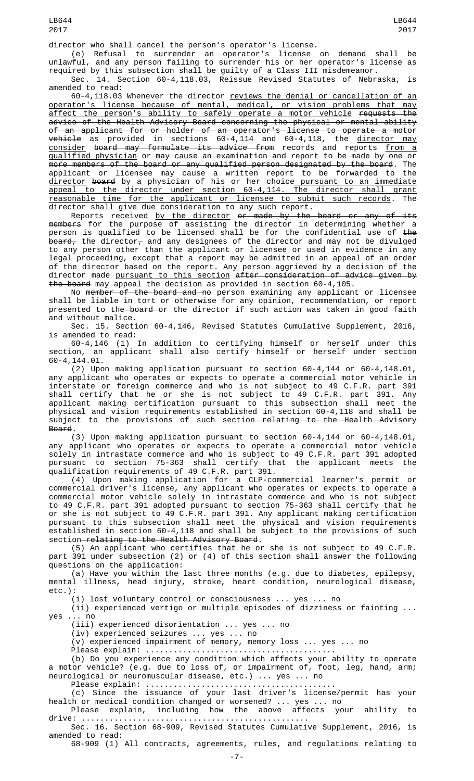(e) Refusal to surrender an operator's license on demand shall be unlawful, and any person failing to surrender his or her operator's license as required by this subsection shall be guilty of a Class III misdemeanor.

Sec. 14. Section 60-4,118.03, Reissue Revised Statutes of Nebraska, is amended to read:

60-4,118.03 Whenever the director reviews the denial or cancellation of an operator's license because of mental, medical, or vision problems that may affect the person's ability to safely operate a motor vehicle requests the advice of the Health Advisory Board concerning the physical or mental ability of an applicant for or holder of an operator's license to operate a motor <del>vehicle</del> as provided in sections 60-4,114 and 60-4,118, the <u>director may</u> <u>consider</u> <del>board may formulate its advice from</del> records and reports <u>from a</u> qualified physician or may cause an examination and report to be made by one or more members of the board or any qualified person designated by the board. The applicant or licensee may cause a written report to be forwarded to the <u>director</u> <del>board</del> by a physician of his or her choice\_<u>pursuant to an immediate</u> appeal to the director under section 60-4,114. The director shall grant reasonable time for the applicant or licensee to submit such records. The director shall give due consideration to any such report.

Reports received <u>by the director</u> <del>or made by the board or any of its</del> members for the purpose of assisting the director in determining whether a person is qualified to be licensed shall be for the confidential use of <del>the</del> <del>board,</del> the director<del>,</del> and any designees of the director and may not be divulged to any person other than the applicant or licensee or used in evidence in any legal proceeding, except that a report may be admitted in an appeal of an order of the director based on the report. Any person aggrieved by a decision of the director made pursuant to this section after consideration of advice given by the board may appeal the decision as provided in section 60-4,105.

No <del>member of the board and no</del> person examining any applicant or licensee shall be liable in tort or otherwise for any opinion, recommendation, or report presented to the board or the director if such action was taken in good faith and without malice.

Sec. 15. Section 60-4,146, Revised Statutes Cumulative Supplement, 2016, is amended to read:

60-4,146 (1) In addition to certifying himself or herself under this section, an applicant shall also certify himself or herself under section 60-4,144.01.

(2) Upon making application pursuant to section 60-4,144 or 60-4,148.01, any applicant who operates or expects to operate a commercial motor vehicle in interstate or foreign commerce and who is not subject to 49 C.F.R. part 391 shall certify that he or she is not subject to 49 C.F.R. part 391. Any applicant making certification pursuant to this subsection shall meet the physical and vision requirements established in section 60-4,118 and shall be subject to the provisions of such section<del> relating to the Health Advisory</del> Board.

(3) Upon making application pursuant to section 60-4,144 or 60-4,148.01, any applicant who operates or expects to operate a commercial motor vehicle solely in intrastate commerce and who is subject to 49 C.F.R. part 391 adopted pursuant to section 75-363 shall certify that the applicant meets the qualification requirements of 49 C.F.R. part 391.

(4) Upon making application for a CLP-commercial learner's permit or commercial driver's license, any applicant who operates or expects to operate a commercial motor vehicle solely in intrastate commerce and who is not subject to 49 C.F.R. part 391 adopted pursuant to section 75-363 shall certify that he or she is not subject to 49 C.F.R. part 391. Any applicant making certification pursuant to this subsection shall meet the physical and vision requirements established in section 60-4,118 and shall be subject to the provisions of such section-relating to the Health Advisory Board.

(5) An applicant who certifies that he or she is not subject to 49 C.F.R. part 391 under subsection (2) or (4) of this section shall answer the following questions on the application:

(a) Have you within the last three months (e.g. due to diabetes, epilepsy, mental illness, head injury, stroke, heart condition, neurological disease, etc.):

(i) lost voluntary control or consciousness ... yes ... no

(ii) experienced vertigo or multiple episodes of dizziness or fainting ... yes ... no

(iii) experienced disorientation ... yes ... no

(iv) experienced seizures ... yes ... no

(v) experienced impairment of memory, memory loss ... yes ... no

Please explain: ............................... (b) Do you experience any condition which affects your ability to operate a motor vehicle? (e.g. due to loss of, or impairment of, foot, leg, hand, arm; neurological or neuromuscular disease, etc.) ... yes ... no

Please explain: .........................................

(c) Since the issuance of your last driver's license/permit has your health or medical condition changed or worsened? ... yes ... no

Please explain, including how the above affects your ability to drive: ................................................. Sec. 16. Section 68-909, Revised Statutes Cumulative Supplement, 2016, is

amended to read:

68-909 (1) All contracts, agreements, rules, and regulations relating to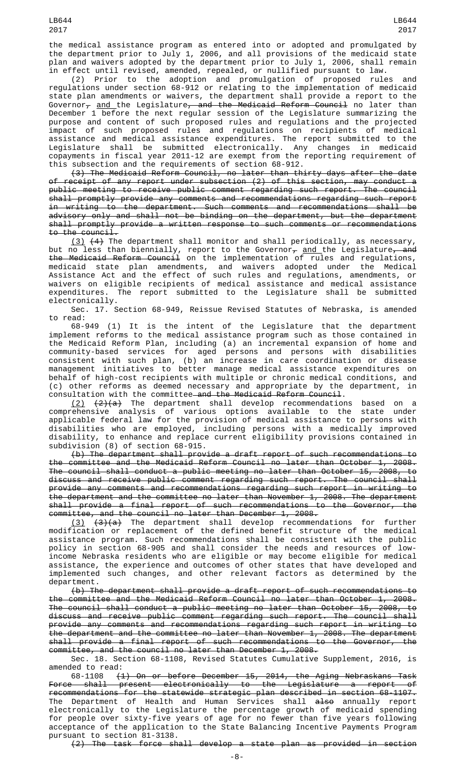(2) Prior to the adoption and promulgation of proposed rules and regulations under section 68-912 or relating to the implementation of medicaid state plan amendments or waivers, the department shall provide a report to the Governor<sub>7</sub> <u>and </u>the Legislature<del>, and the Medicaid Reform Council</del> no later than December 1 before the next regular session of the Legislature summarizing the purpose and content of such proposed rules and regulations and the projected impact of such proposed rules and regulations on recipients of medical assistance and medical assistance expenditures. The report submitted to the Legislature shall be submitted electronically. Any changes in medicaid copayments in fiscal year 2011-12 are exempt from the reporting requirement of this subsection and the requirements of section 68-912.

(3) The Medicaid Reform Council, no later than thirty days after the date of receipt of any report under subsection (2) of this section, may conduct a public meeting to receive public comment regarding such report. The council shall promptly provide any comments and recommendations regarding such report in writing to the department. Such comments and recommendations shall be advisory only and shall not be binding on the department, but the department shall promptly provide a written response to such comments or recommendations to the council.

 $(3)$   $(4)$  The department shall monitor and shall periodically, as necessary, but no less than biennially, report to the Governor $_{\mathcal{T}}$  <u>and </u>the Legislature<del>, and</del> the Medicaid Reform Council on the implementation of rules and regulations, medicaid state plan amendments, and waivers adopted under the Medical Assistance Act and the effect of such rules and regulations, amendments, or waivers on eligible recipients of medical assistance and medical assistance expenditures. The report submitted to the Legislature shall be submitted electronically.

Sec. 17. Section 68-949, Reissue Revised Statutes of Nebraska, is amended to read:

68-949 (1) It is the intent of the Legislature that the department implement reforms to the medical assistance program such as those contained in the Medicaid Reform Plan, including (a) an incremental expansion of home and community-based services for aged persons and persons with disabilities consistent with such plan, (b) an increase in care coordination or disease management initiatives to better manage medical assistance expenditures on behalf of high-cost recipients with multiple or chronic medical conditions, and (c) other reforms as deemed necessary and appropriate by the department, in consultation with the committee and the Medicaid Reform Council.

 $(2)$   $(2)$   $(3)$  The department shall develop recommendations based on a comprehensive analysis of various options available to the state under applicable federal law for the provision of medical assistance to persons with disabilities who are employed, including persons with a medically improved disability, to enhance and replace current eligibility provisions contained in subdivision (8) of section 68-915.

(b) The department shall provide a draft report of such recommendations to the committee and the Medicaid Reform Council no later than October 1, 2008. The council shall conduct a public meeting no later than October 15, 2008, to discuss and receive public comment regarding such report. The council shall provide any comments and recommendations regarding such report in writing to the department and the committee no later than November 1, 2008. The department shall provide a final report of such recommendations to the Governor, the committee, and the council no later than December 1, 2008.

<u>(3)</u> <del>(3)(a)</del> The department shall develop recommendations for further modification or replacement of the defined benefit structure of the medical assistance program. Such recommendations shall be consistent with the public policy in section 68-905 and shall consider the needs and resources of lowincome Nebraska residents who are eligible or may become eligible for medical assistance, the experience and outcomes of other states that have developed and implemented such changes, and other relevant factors as determined by the department.

(b) The department shall provide a draft report of such recommendations to the committee and the Medicaid Reform Council no later than October 1, 2008. The council shall conduct a public meeting no later than October 15, 2008, to discuss and receive public comment regarding such report. The council shall provide any comments and recommendations regarding such report in writing to the department and the committee no later than November 1, 2008. The department shall provide a final report of such recommendations to the Governor, the committee, and the council no later than December 1, 2008.

Sec. 18. Section 68-1108, Revised Statutes Cumulative Supplement, 2016, is amended to read:

68-1108 (1) On or before December 15, 2014, the Aging Nebraskans Task Force shall present electronically to the Legislature a report of recommendations for the statewide strategic plan described in section 68-1107. The Department of Health and Human Services shall <del>also</del> annually report electronically to the Legislature the percentage growth of medicaid spending for people over sixty-five years of age for no fewer than five years following acceptance of the application to the State Balancing Incentive Payments Program pursuant to section 81-3138.

(2) The task force shall develop a state plan as provided in section